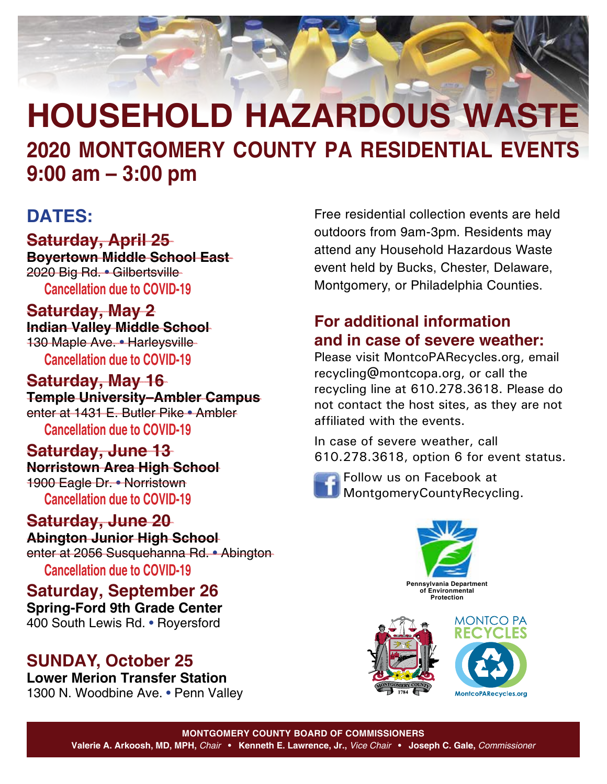

#### **DATES:**

#### **Saturday, April 25**

**Boyertown Middle School East** 2020 Big Rd. • Gilbertsville **Cancellation due to COVID-19**

## **Saturday, May 2**

**Indian Valley Middle School** 130 Maple Ave. • Harleysville **Cancellation due to COVID-19**

#### **Saturday, May 16 Temple University–Ambler Campus** enter at 1431 E. Butler Pike • Ambler **Cancellation due to COVID-19**

### **Saturday, June 13**

**Norristown Area High School** 1900 Eagle Dr. • Norristown **Cancellation due to COVID-19**

**Saturday, June 20 Abington Junior High School** enter at 2056 Susquehanna Rd. • Abington **Cancellation due to COVID-19**

**Saturday, September 26 Spring-Ford 9th Grade Center** 400 South Lewis Rd. • Royersford

### **SUNDAY, October 25**

**Lower Merion Transfer Station** 1300 N. Woodbine Ave. • Penn Valley Free residential collection events are held outdoors from 9am-3pm. Residents may attend any Household Hazardous Waste event held by Bucks, Chester, Delaware, Montgomery, or Philadelphia Counties.

#### **For additional information and in case of severe weather:**

Please visit [MontcoPARecycles.org,](https://www.montcopa.org/637/Recycling-Information) email [recycling@montcopa.org](mailto:recycling%40montcopa.org?subject=2019%20Household%20Hazardous%20Waste%20Events), or call the recycling line at 610.278.3618. Please do not contact the host sites, as they are not affiliated with the events.

In case of severe weather, call 610.278.3618, option 6 for event status.



Follow us on Facebook at MontgomeryCountyRecycling.